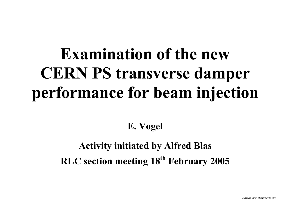# **Examination of the new CERN PS transverse damper performance for beam injection**

**E. Vogel** 

## **Activity initiated by Alfred Blas RLC section meeting 18th February 2005**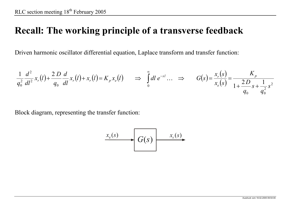### **Recall: The working principle of a transverse feedback**

Driven harmonic oscillator differential equation, Laplace transform and transfer function:

$$
\frac{1}{q_0^2} \frac{d^2}{dl^2} x_r(l) + \frac{2 D}{q_0} \frac{d}{dl} x_r(l) + x_r(l) = K_p x_e(l) \qquad \Rightarrow \quad \int_0^\infty dl \ e^{-sl} \dots \quad \Rightarrow \qquad G(s) = \frac{x_r(s)}{x_e(s)} = \frac{K_p}{1 + \frac{2 D}{q_0} s + \frac{1}{q_0^2} s^2}
$$

Block diagram, representing the transfer function:

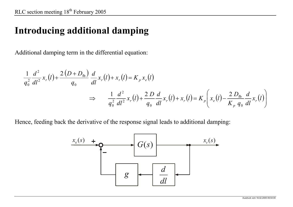### **Introducing additional damping**

Additional damping term in the differential equation:

$$
\frac{1}{q_0^2} \frac{d^2}{dl^2} x_r(l) + \frac{2(D+D_{\text{fb}})}{q_0} \frac{d}{dl} x_r(l) + x_r(l) = K_p x_e(l)
$$
\n
$$
\Rightarrow \frac{1}{q_0^2} \frac{d^2}{dl^2} x_r(l) + \frac{2D}{q_0} \frac{d}{dl} x_r(l) + x_r(l) = K_p \left( x_e(l) - \frac{2D_{\text{fb}}}{K_p} \frac{d}{q_0} x_r(l) \right)
$$

Hence, feeding back the derivative of the response signal leads to additional damping:

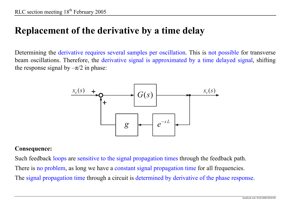### **Replacement of the derivative by a time delay**

Determining the derivative requires several samples per oscillation. This is not possible for transverse beam oscillations. Therefore, the derivative signal is approximated by a time delayed signal, shifting the response signal by  $-\pi/2$  in phase:



#### **Consequence:**

Such feedback loops are sensitive to the signal propagation times through the feedback path. There is no problem, as long we have a constant signal propagation time for all frequencies. The signal propagation time through a circuit is determined by derivative of the phase response.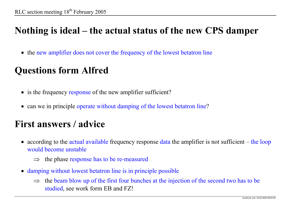### **Nothing is ideal – the actual status of the new CPS damper**

• the new amplifier does not cover the frequency of the lowest betatron line

### **Questions form Alfred**

- is the frequency response of the new amplifier sufficient?
- can we in principle operate without damping of the lowest betatron line?

### **First answers / advice**

- according to the actual available frequency response data the amplifier is not sufficient the loop would become unstable
	- $\Rightarrow$  the phase response has to be re-measured
- damping without lowest betatron line is in principle possible
	- $\Rightarrow$  the beam blow up of the first four bunches at the injection of the second two has to be studied, see work form EB and FZ!